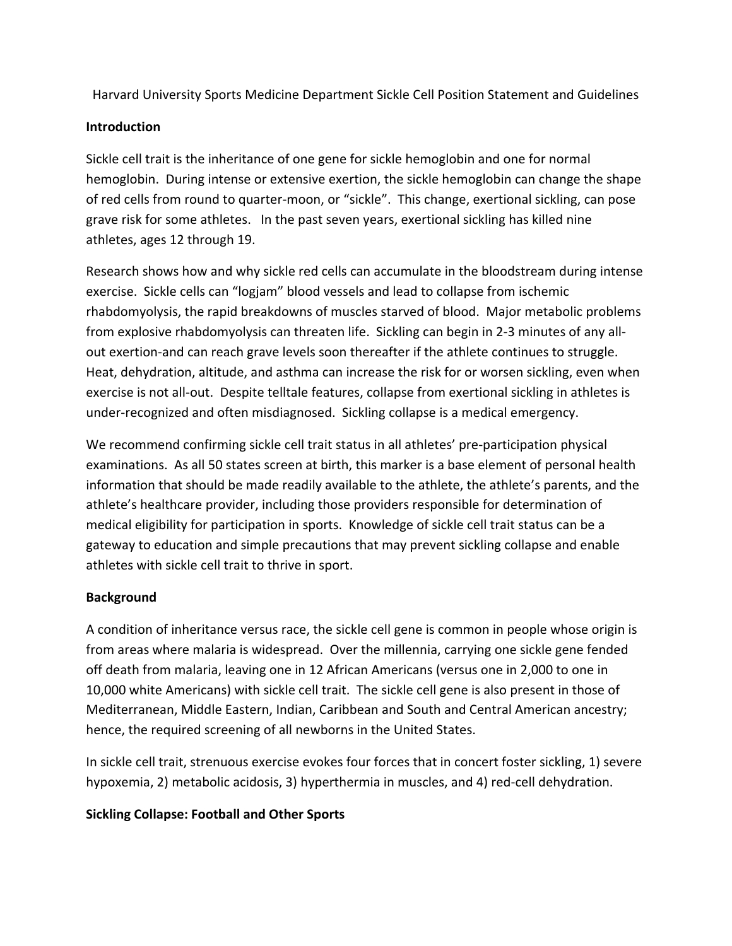Harvard University Sports Medicine Department Sickle Cell Position Statement and Guidelines

### **Introduction**

Sickle cell trait is the inheritance of one gene for sickle hemoglobin and one for normal hemoglobin. During intense or extensive exertion, the sickle hemoglobin can change the shape of red cells from round to quarter‐moon, or "sickle". This change, exertional sickling, can pose grave risk for some athletes. In the past seven years, exertional sickling has killed nine athletes, ages 12 through 19.

Research shows how and why sickle red cells can accumulate in the bloodstream during intense exercise. Sickle cells can "logjam" blood vessels and lead to collapse from ischemic rhabdomyolysis, the rapid breakdowns of muscles starved of blood. Major metabolic problems from explosive rhabdomyolysis can threaten life. Sickling can begin in 2‐3 minutes of any all‐ out exertion-and can reach grave levels soon thereafter if the athlete continues to struggle. Heat, dehydration, altitude, and asthma can increase the risk for or worsen sickling, even when exercise is not all-out. Despite telltale features, collapse from exertional sickling in athletes is under‐recognized and often misdiagnosed. Sickling collapse is a medical emergency.

We recommend confirming sickle cell trait status in all athletes' pre-participation physical examinations. As all 50 states screen at birth, this marker is a base element of personal health information that should be made readily available to the athlete, the athlete's parents, and the athlete's healthcare provider, including those providers responsible for determination of medical eligibility for participation in sports. Knowledge of sickle cell trait status can be a gateway to education and simple precautions that may prevent sickling collapse and enable athletes with sickle cell trait to thrive in sport.

# **Background**

A condition of inheritance versus race, the sickle cell gene is common in people whose origin is from areas where malaria is widespread. Over the millennia, carrying one sickle gene fended off death from malaria, leaving one in 12 African Americans (versus one in 2,000 to one in 10,000 white Americans) with sickle cell trait. The sickle cell gene is also present in those of Mediterranean, Middle Eastern, Indian, Caribbean and South and Central American ancestry; hence, the required screening of all newborns in the United States.

In sickle cell trait, strenuous exercise evokes four forces that in concert foster sickling, 1) severe hypoxemia, 2) metabolic acidosis, 3) hyperthermia in muscles, and 4) red‐cell dehydration.

# **Sickling Collapse: Football and Other Sports**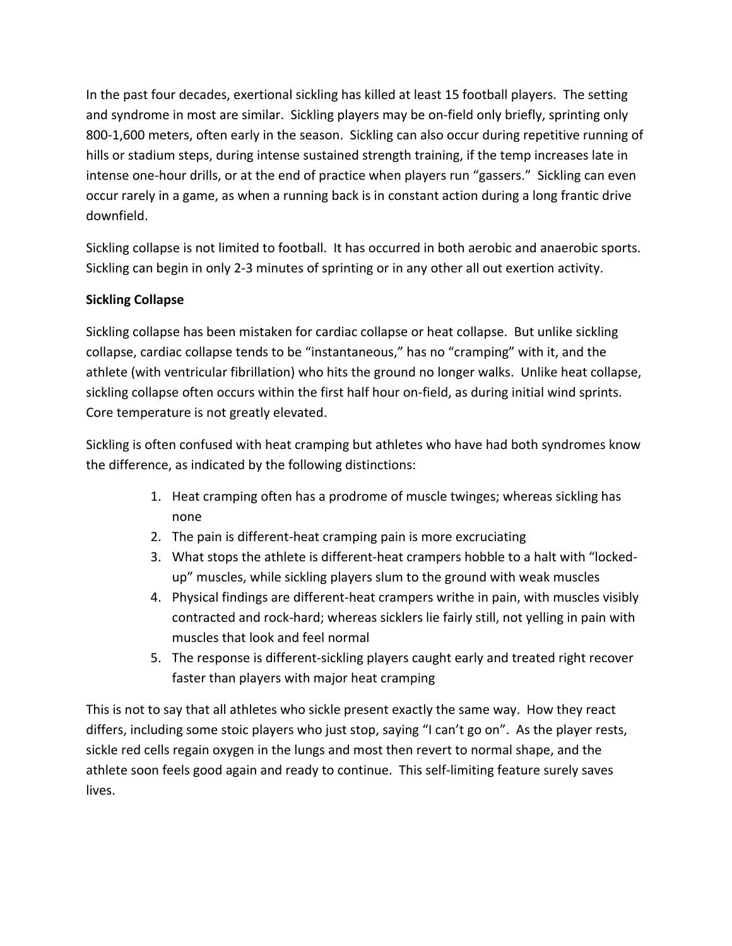In the past four decades, exertional sickling has killed at least 15 football players. The setting and syndrome in most are similar. Sickling players may be on-field only briefly, sprinting only 800-1,600 meters, often early in the season. Sickling can also occur during repetitive running of hills or stadium steps, during intense sustained strength training, if the temp increases late in intense one‐hour drills, or at the end of practice when players run "gassers." Sickling can even occur rarely in a game, as when a running back is in constant action during a long frantic drive downfield.

Sickling collapse is not limited to football. It has occurred in both aerobic and anaerobic sports. Sickling can begin in only 2‐3 minutes of sprinting or in any other all out exertion activity.

## **Sickling Collapse**

Sickling collapse has been mistaken for cardiac collapse or heat collapse. But unlike sickling collapse, cardiac collapse tends to be "instantaneous," has no "cramping" with it, and the athlete (with ventricular fibrillation) who hits the ground no longer walks. Unlike heat collapse, sickling collapse often occurs within the first half hour on-field, as during initial wind sprints. Core temperature is not greatly elevated.

Sickling is often confused with heat cramping but athletes who have had both syndromes know the difference, as indicated by the following distinctions:

- 1. Heat cramping often has a prodrome of muscle twinges; whereas sickling has none
- 2. The pain is different‐heat cramping pain is more excruciating
- 3. What stops the athlete is different‐heat crampers hobble to a halt with "locked‐ up" muscles, while sickling players slum to the ground with weak muscles
- 4. Physical findings are different‐heat crampers writhe in pain, with muscles visibly contracted and rock‐hard; whereas sicklers lie fairly still, not yelling in pain with muscles that look and feel normal
- 5. The response is different‐sickling players caught early and treated right recover faster than players with major heat cramping

This is not to say that all athletes who sickle present exactly the same way. How they react differs, including some stoic players who just stop, saying "I can't go on". As the player rests, sickle red cells regain oxygen in the lungs and most then revert to normal shape, and the athlete soon feels good again and ready to continue. This self‐limiting feature surely saves lives.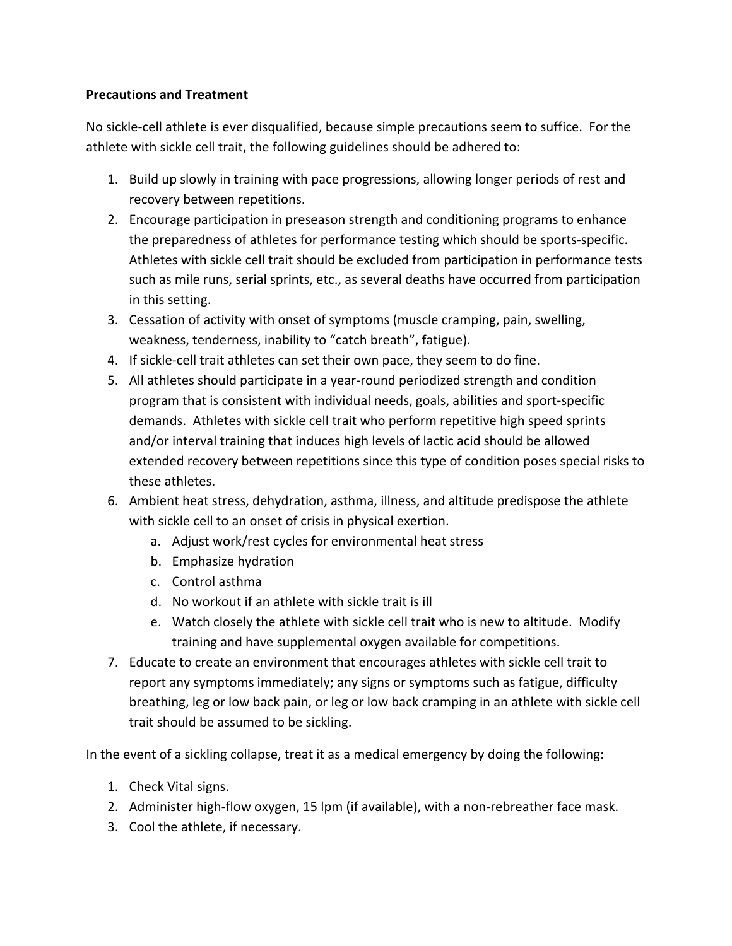### **Precautions and Treatment**

No sickle‐cell athlete is ever disqualified, because simple precautions seem to suffice. For the athlete with sickle cell trait, the following guidelines should be adhered to:

- 1. Build up slowly in training with pace progressions, allowing longer periods of rest and recovery between repetitions.
- 2. Encourage participation in preseason strength and conditioning programs to enhance the preparedness of athletes for performance testing which should be sports‐specific. Athletes with sickle cell trait should be excluded from participation in performance tests such as mile runs, serial sprints, etc., as several deaths have occurred from participation in this setting.
- 3. Cessation of activity with onset of symptoms (muscle cramping, pain, swelling, weakness, tenderness, inability to "catch breath", fatigue).
- 4. If sickle‐cell trait athletes can set their own pace, they seem to do fine.
- 5. All athletes should participate in a year-round periodized strength and condition program that is consistent with individual needs, goals, abilities and sport‐specific demands. Athletes with sickle cell trait who perform repetitive high speed sprints and/or interval training that induces high levels of lactic acid should be allowed extended recovery between repetitions since this type of condition poses special risks to these athletes.
- 6. Ambient heat stress, dehydration, asthma, illness, and altitude predispose the athlete with sickle cell to an onset of crisis in physical exertion.
	- a. Adjust work/rest cycles for environmental heat stress
	- b. Emphasize hydration
	- c. Control asthma
	- d. No workout if an athlete with sickle trait is ill
	- e. Watch closely the athlete with sickle cell trait who is new to altitude. Modify training and have supplemental oxygen available for competitions.
- 7. Educate to create an environment that encourages athletes with sickle cell trait to report any symptoms immediately; any signs or symptoms such as fatigue, difficulty breathing, leg or low back pain, or leg or low back cramping in an athlete with sickle cell trait should be assumed to be sickling.

In the event of a sickling collapse, treat it as a medical emergency by doing the following:

- 1. Check Vital signs.
- 2. Administer high-flow oxygen, 15 lpm (if available), with a non-rebreather face mask.
- 3. Cool the athlete, if necessary.